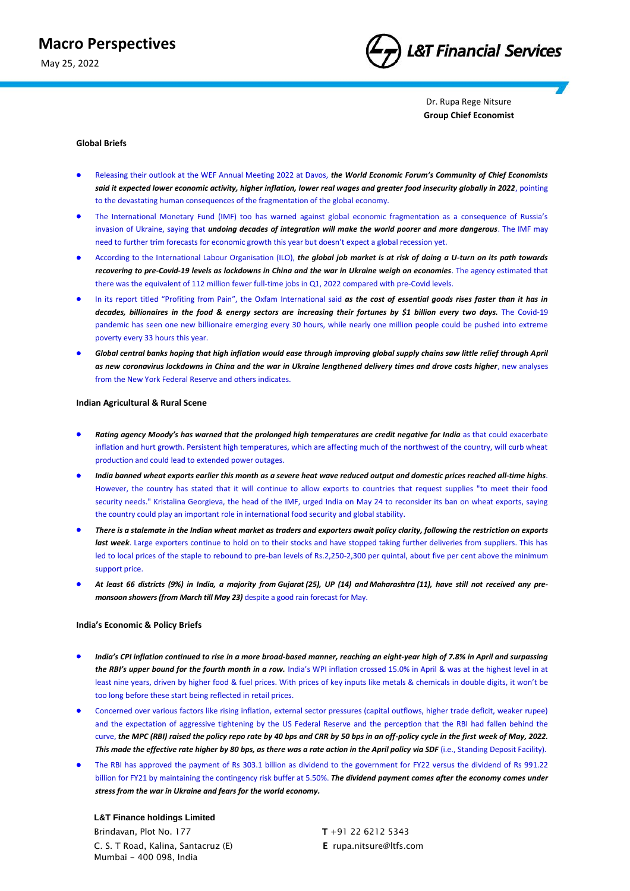

Dr. Rupa Rege Nitsure **Group Chief Economist**

## **Global Briefs**

- Releasing their outlook at the WEF Annual Meeting 2022 at Davos, *the World Economic Forum's Community of Chief Economists said it expected lower economic activity, higher inflation, lower real wages and greater food insecurity globally in 2022*, pointing to the devastating human consequences of the fragmentation of the global economy.
- The International Monetary Fund (IMF) too has warned against global economic fragmentation as a consequence of Russia's invasion of Ukraine, saying that *undoing decades of integration will make the world poorer and more dangerous*. The IMF may need to further trim forecasts for economic growth this year but doesn't expect a global recession yet.
- According to the International Labour Organisation (ILO), *the global job market is at risk of doing a U-turn on its path towards recovering to pre-Covid-19 levels as lockdowns in China and the war in Ukraine weigh on economies*. The agency estimated that there was the equivalent of 112 million fewer full-time jobs in Q1, 2022 compared with pre-Covid levels.
- In its report titled "Profiting from Pain", the Oxfam International said *as the cost of essential goods rises faster than it has in decades, billionaires in the food & energy sectors are increasing their fortunes by \$1 billion every two days.* The Covid-19 pandemic has seen one new billionaire emerging every 30 hours, while nearly one million people could be pushed into extreme poverty every 33 hours this year.
- *Global central banks hoping that high inflation would ease through improving global supply chains saw little relief through April*  as new coronavirus lockdowns in China and the war in Ukraine lengthened delivery times and drove costs higher, new analyses from the New York Federal Reserve and others indicates.

### **Indian Agricultural & Rural Scene**

- *Rating agency Moody's has warned that the prolonged high temperatures are credit negative for India* **as that could exacerbate** inflation and hurt growth. Persistent high temperatures, which are affecting much of the northwest of the country, will curb wheat production and could lead to extended power outages.
- *India banned wheat exports earlier this month as a severe heat wave reduced output and domestic prices reached all-time highs*. However, the country has stated that it will continue to allow exports to countries that request supplies "to meet their food security needs." Kristalina Georgieva, the head of the IMF, urged India on May 24 to reconsider its ban on wheat exports, saying the country could play an important role in international food security and global stability.
- *There is a stalemate in the Indian wheat market as traders and exporters await policy clarity, following the restriction on exports last week*. Large exporters continue to hold on to their stocks and have stopped taking further deliveries from suppliers. This has led to local prices of the staple to rebound to pre-ban levels of Rs.2,250-2,300 per quintal, about five per cent above the minimum support price.
- *At least 66 districts (9%) in India, a majority from [Gujarat](https://timesofindia.indiatimes.com/india/gujarat) (25), UP (14) and [Maharashtra](https://timesofindia.indiatimes.com/india/maharashtra) (11), have still not received any premonsoon showers (from March till May 23)* despite a good rain forecast for May.

## **India's Economic & Policy Briefs**

- *India's CPI inflation continued to rise in a more broad-based manner, reaching an eight-year high of 7.8% in April and surpassing the RBI's upper bound for the fourth month in a row.* India's WPI inflation crossed 15.0% in April & was at the highest level in at least nine years, driven by higher food & fuel prices. With prices of key inputs like metals & chemicals in double digits, it won't be too long before these start being reflected in retail prices.
- Concerned over various factors like rising inflation, external sector pressures (capital outflows, higher trade deficit, weaker rupee) and the expectation of aggressive tightening by the US Federal Reserve and the perception that the RBI had fallen behind the curve, *the MPC (RBI) raised the policy repo rate by 40 bps and CRR by 50 bps in an off-policy cycle in the first week of May, 2022.*  This made the effective rate higher by 80 bps, as there was a rate action in the April policy via SDF (i.e., Standing Deposit Facility).
- The RBI has approved the payment of Rs 303.1 billion as dividend to the government for FY22 versus the dividend of Rs 991.22 billion for FY21 by maintaining the contingency risk buffer at 5.50%. *The dividend payment comes after the economy comes under stress from the war in Ukraine and fears for the world economy.*

**L&T Finance holdings Limited** Brindavan, Plot No. 177 T +91 22 6212 5343 C. S. T Road, Kalina, Santacruz (E) **E** rupa.nitsure@ltfs.com Mumbai - 400 098, India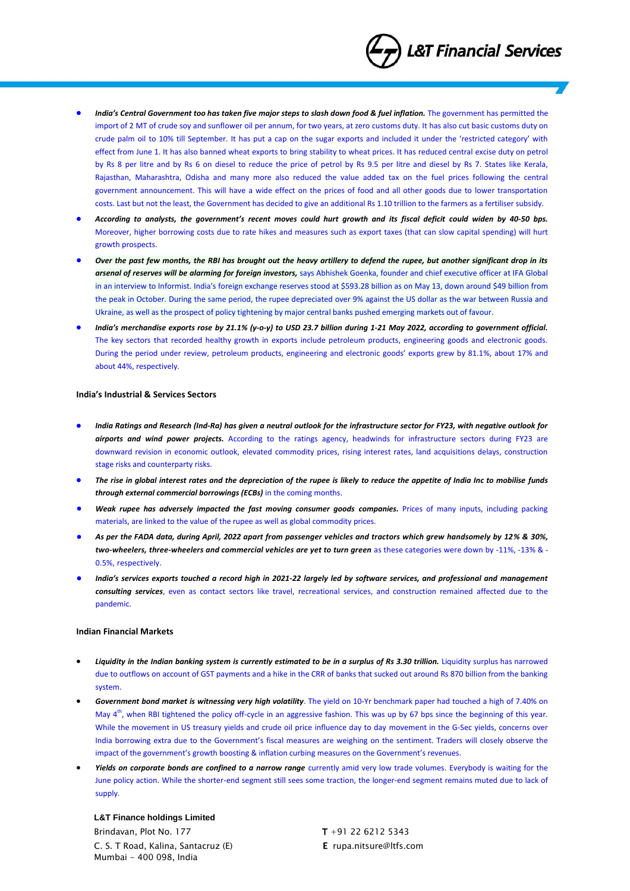

- *India's Central Government too has taken five major steps to slash down food & fuel inflation.* The government has permitted the import of 2 MT of crude soy and sunflower oil per annum, for two years, at zero customs duty. It has also cut basic customs duty on crude palm oil to 10% till September. It has put a cap on the sugar exports and included it under the 'restricted category' with effect from June 1. It has also banned wheat exports to bring stability to wheat prices. It has reduced central excise duty on petrol by Rs 8 per litre and by Rs 6 on diesel to reduce the price of petrol by Rs 9.5 per litre and diesel by Rs 7. States like Kerala, Rajasthan, Maharashtra, Odisha and many more also reduced the value added tax on the fuel prices following the central government announcement. This will have a wide effect on the prices of food and all other goods due to lower transportation costs. Last but not the least, the Government has decided to give an additional Rs 1.10 trillion to the farmers as a fertiliser subsidy.
- *According to analysts, the government's recent moves could hurt growth and its fiscal deficit could widen by 40-50 bps.* Moreover, higher borrowing costs due to rate hikes and measures such as export taxes (that can slow capital spending) will hurt growth prospects.
- *Over the past few months, the RBI has brought out the heavy artillery to defend the rupee, but another significant drop in its arsenal of reserves will be alarming for foreign investors,* says Abhishek Goenka, founder and chief executive officer at IFA Global in an interview to Informist. India's foreign exchange reserves stood at \$593.28 billion as on May 13, down around \$49 billion from the peak in October. During the same period, the rupee depreciated over 9% against the US dollar as the war between Russia and Ukraine, as well as the prospect of policy tightening by major central banks pushed emerging markets out of favour.
- *India's merchandise exports rose by 21.1% (y-o-y) to USD 23.7 billion during 1-21 May 2022, according to government official.* The key sectors that recorded healthy growth in exports include petroleum products, engineering goods and electronic goods. During the period under review, petroleum products, engineering and electronic goods' exports grew by 81.1%, about 17% and about 44%, respectively.

### **India's Industrial & Services Sectors**

- *India Ratings and Research (Ind-Ra) has given a neutral outlook for the infrastructure sector for FY23, with negative outlook for airports and wind power projects.* According to the ratings agency, headwinds for infrastructure sectors during FY23 are downward revision in economic outlook, elevated commodity prices, rising interest rates, land acquisitions delays, construction stage risks and counterparty risks.
- *The rise in global interest rates and the depreciation of the rupee is likely to reduce the appetite of India Inc to mobilise funds through external commercial borrowings (ECBs)* in the coming months.
- *Weak rupee has adversely impacted the fast moving consumer goods companies.* Prices of many inputs, including packing materials, are linked to the value of the rupee as well as global commodity prices.
- *As per the FADA data, during April, 2022 apart from passenger vehicles and tractors which grew handsomely by 12% & 30%, two-wheelers, three-wheelers and commercial vehicles are yet to turn green* as these categories were down by -11%, -13% & - 0.5%, respectively.
- *India's services exports touched a record high in 2021-22 largely led by software services, and professional and management consulting services*, even as contact sectors like travel, recreational services, and construction remained affected due to the pandemic.

# **Indian Financial Markets**

- *Liquidity in the Indian banking system is currently estimated to be in a surplus of Rs 3.30 trillion.* Liquidity surplus has narrowed due to outflows on account of GST payments and a hike in the CRR of banks that sucked out around Rs 870 billion from the banking system.
- *Government bond market is witnessing very high volatility*. The yield on 10-Yr benchmark paper had touched a high of 7.40% on May 4<sup>th</sup>, when RBI tightened the policy off-cycle in an aggressive fashion. This was up by 67 bps since the beginning of this year. While the movement in US treasury yields and crude oil price influence day to day movement in the G-Sec yields, concerns over India borrowing extra due to the Government's fiscal measures are weighing on the sentiment. Traders will closely observe the impact of the government's growth boosting & inflation curbing measures on the Government's revenues.
- *Yields on corporate bonds are confined to a narrow range* currently amid very low trade volumes. Everybody is waiting for the June policy action. While the shorter-end segment still sees some traction, the longer-end segment remains muted due to lack of supply.

**L&T Finance holdings Limited** Brindavan, Plot No. 177  $T + 91 22 6212 5343$ C. S. T Road, Kalina, Santacruz (E) **E** rupa.nitsure@ltfs.com Mumbai - 400 098, India